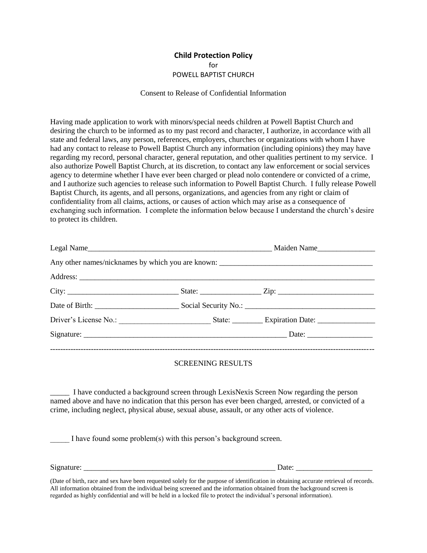#### **Child Protection Policy** for POWELL BAPTIST CHURCH

#### Consent to Release of Confidential Information

Having made application to work with minors/special needs children at Powell Baptist Church and desiring the church to be informed as to my past record and character, I authorize, in accordance with all state and federal laws, any person, references, employers, churches or organizations with whom I have had any contact to release to Powell Baptist Church any information (including opinions) they may have regarding my record, personal character, general reputation, and other qualities pertinent to my service. I also authorize Powell Baptist Church, at its discretion, to contact any law enforcement or social services agency to determine whether I have ever been charged or plead nolo contendere or convicted of a crime, and I authorize such agencies to release such information to Powell Baptist Church. I fully release Powell Baptist Church, its agents, and all persons, organizations, and agencies from any right or claim of confidentiality from all claims, actions, or causes of action which may arise as a consequence of exchanging such information. I complete the information below because I understand the church's desire to protect its children.

|  |  | Any other names/nicknames by which you are known: _______________________________ |  |
|--|--|-----------------------------------------------------------------------------------|--|
|  |  |                                                                                   |  |
|  |  |                                                                                   |  |
|  |  |                                                                                   |  |
|  |  |                                                                                   |  |
|  |  |                                                                                   |  |
|  |  |                                                                                   |  |

#### SCREENING RESULTS

\_\_\_\_\_ I have conducted a background screen through LexisNexis Screen Now regarding the person named above and have no indication that this person has ever been charged, arrested, or convicted of a crime, including neglect, physical abuse, sexual abuse, assault, or any other acts of violence.

I have found some problem(s) with this person's background screen.

Signature: \_\_\_\_\_\_\_\_\_\_\_\_\_\_\_\_\_\_\_\_\_\_\_\_\_\_\_\_\_\_\_\_\_\_\_\_\_\_\_\_\_\_\_\_\_\_\_\_\_\_ Date: \_\_\_\_\_\_\_\_\_\_\_\_\_\_\_\_\_\_\_\_

(Date of birth, race and sex have been requested solely for the purpose of identification in obtaining accurate retrieval of records. All information obtained from the individual being screened and the information obtained from the background screen is regarded as highly confidential and will be held in a locked file to protect the individual's personal information).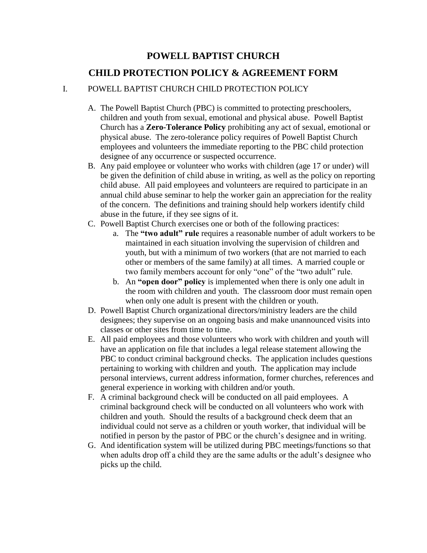# **POWELL BAPTIST CHURCH CHILD PROTECTION POLICY & AGREEMENT FORM**

# I. POWELL BAPTIST CHURCH CHILD PROTECTION POLICY

- A. The Powell Baptist Church (PBC) is committed to protecting preschoolers, children and youth from sexual, emotional and physical abuse. Powell Baptist Church has a **Zero-Tolerance Policy** prohibiting any act of sexual, emotional or physical abuse. The zero-tolerance policy requires of Powell Baptist Church employees and volunteers the immediate reporting to the PBC child protection designee of any occurrence or suspected occurrence.
- B. Any paid employee or volunteer who works with children (age 17 or under) will be given the definition of child abuse in writing, as well as the policy on reporting child abuse. All paid employees and volunteers are required to participate in an annual child abuse seminar to help the worker gain an appreciation for the reality of the concern. The definitions and training should help workers identify child abuse in the future, if they see signs of it.
- C. Powell Baptist Church exercises one or both of the following practices:
	- a. The **"two adult" rule** requires a reasonable number of adult workers to be maintained in each situation involving the supervision of children and youth, but with a minimum of two workers (that are not married to each other or members of the same family) at all times. A married couple or two family members account for only "one" of the "two adult" rule.
	- b. An **"open door" policy** is implemented when there is only one adult in the room with children and youth. The classroom door must remain open when only one adult is present with the children or youth.
- D. Powell Baptist Church organizational directors/ministry leaders are the child designees; they supervise on an ongoing basis and make unannounced visits into classes or other sites from time to time.
- E. All paid employees and those volunteers who work with children and youth will have an application on file that includes a legal release statement allowing the PBC to conduct criminal background checks. The application includes questions pertaining to working with children and youth. The application may include personal interviews, current address information, former churches, references and general experience in working with children and/or youth.
- F. A criminal background check will be conducted on all paid employees. A criminal background check will be conducted on all volunteers who work with children and youth. Should the results of a background check deem that an individual could not serve as a children or youth worker, that individual will be notified in person by the pastor of PBC or the church's designee and in writing.
- G. And identification system will be utilized during PBC meetings/functions so that when adults drop off a child they are the same adults or the adult's designee who picks up the child.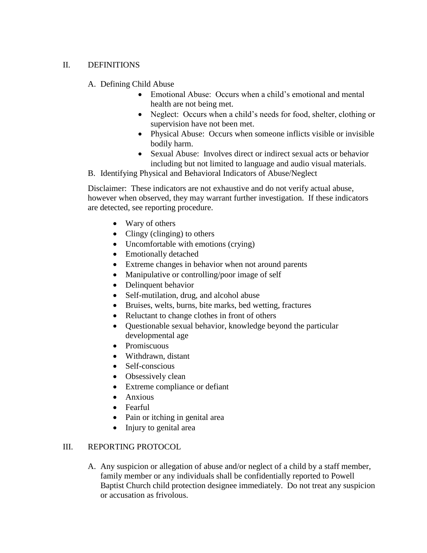# II. DEFINITIONS

A. Defining Child Abuse

- Emotional Abuse: Occurs when a child's emotional and mental health are not being met.
- Neglect: Occurs when a child's needs for food, shelter, clothing or supervision have not been met.
- Physical Abuse: Occurs when someone inflicts visible or invisible bodily harm.
- Sexual Abuse: Involves direct or indirect sexual acts or behavior including but not limited to language and audio visual materials.
- B. Identifying Physical and Behavioral Indicators of Abuse/Neglect

Disclaimer: These indicators are not exhaustive and do not verify actual abuse, however when observed, they may warrant further investigation. If these indicators are detected, see reporting procedure.

- Wary of others
- Clingy (clinging) to others
- Uncomfortable with emotions (crying)
- Emotionally detached
- Extreme changes in behavior when not around parents
- Manipulative or controlling/poor image of self
- Delinquent behavior
- Self-mutilation, drug, and alcohol abuse
- Bruises, welts, burns, bite marks, bed wetting, fractures
- Reluctant to change clothes in front of others
- Questionable sexual behavior, knowledge beyond the particular developmental age
- Promiscuous
- Withdrawn, distant
- Self-conscious
- Obsessively clean
- Extreme compliance or defiant
- Anxious
- Fearful
- Pain or itching in genital area
- Injury to genital area

# III. REPORTING PROTOCOL

A. Any suspicion or allegation of abuse and/or neglect of a child by a staff member, family member or any individuals shall be confidentially reported to Powell Baptist Church child protection designee immediately. Do not treat any suspicion or accusation as frivolous.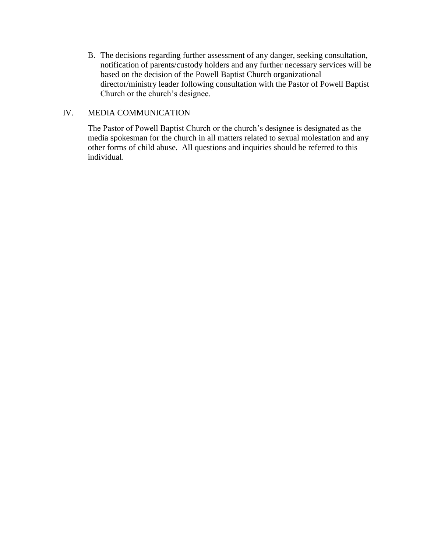B. The decisions regarding further assessment of any danger, seeking consultation, notification of parents/custody holders and any further necessary services will be based on the decision of the Powell Baptist Church organizational director/ministry leader following consultation with the Pastor of Powell Baptist Church or the church's designee.

### IV. MEDIA COMMUNICATION

The Pastor of Powell Baptist Church or the church's designee is designated as the media spokesman for the church in all matters related to sexual molestation and any other forms of child abuse. All questions and inquiries should be referred to this individual.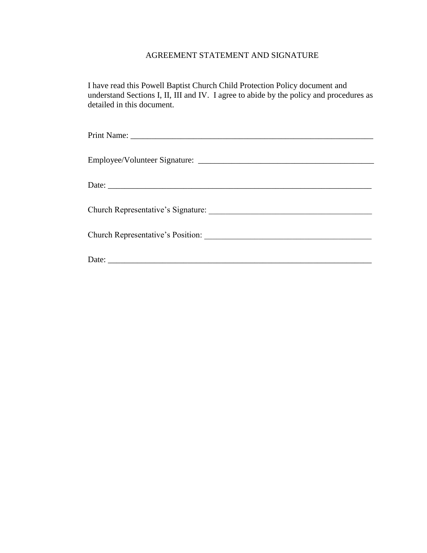# AGREEMENT STATEMENT AND SIGNATURE

I have read this Powell Baptist Church Child Protection Policy document and understand Sections I, II, III and IV. I agree to abide by the policy and procedures as detailed in this document.

| Church Representative's Position: |
|-----------------------------------|
|                                   |
|                                   |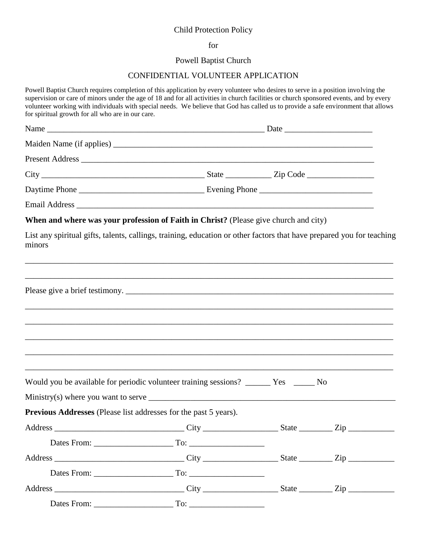### Child Protection Policy

#### for

#### Powell Baptist Church

#### CONFIDENTIAL VOLUNTEER APPLICATION

Powell Baptist Church requires completion of this application by every volunteer who desires to serve in a position involving the supervision or care of minors under the age of 18 and for all activities in church facilities or church sponsored events, and by every volunteer working with individuals with special needs. We believe that God has called us to provide a safe environment that allows for spiritual growth for all who are in our care. Name \_\_\_\_\_\_\_\_\_\_\_\_\_\_\_\_\_\_\_\_\_\_\_\_\_\_\_\_\_\_\_\_\_\_\_\_\_\_\_\_\_\_\_\_\_\_\_\_\_\_\_\_ Date \_\_\_\_\_\_\_\_\_\_\_\_\_\_\_\_\_\_\_\_\_ Maiden Name (if applies) Present Address \_\_\_\_\_\_\_\_\_\_\_\_\_\_\_\_\_\_\_\_\_\_\_\_\_\_\_\_\_\_\_\_\_\_\_\_\_\_\_\_\_\_\_\_\_\_\_\_\_\_\_\_\_\_\_\_\_\_\_\_\_\_\_\_\_\_\_\_\_\_ City State  $\overline{C}$   $\overline{C}$   $\overline{C}$   $\overline{C}$   $\overline{C}$   $\overline{C}$   $\overline{C}$   $\overline{C}$   $\overline{C}$   $\overline{C}$   $\overline{C}$   $\overline{C}$   $\overline{C}$   $\overline{C}$   $\overline{C}$   $\overline{C}$   $\overline{C}$   $\overline{C}$   $\overline{C}$   $\overline{C}$   $\overline{C}$   $\overline{C}$   $\overline{C}$   $\overline$ Daytime Phone **Evening Phone** Email Address \_\_\_\_\_\_\_\_\_\_\_\_\_\_\_\_\_\_\_\_\_\_\_\_\_\_\_\_\_\_\_\_\_\_\_\_\_\_\_\_\_\_\_\_\_\_\_\_\_\_\_\_\_\_\_\_\_\_\_\_\_\_\_\_\_\_\_\_\_\_\_ **When and where was your profession of Faith in Christ?** (Please give church and city) List any spiritual gifts, talents, callings, training, education or other factors that have prepared you for teaching minors \_\_\_\_\_\_\_\_\_\_\_\_\_\_\_\_\_\_\_\_\_\_\_\_\_\_\_\_\_\_\_\_\_\_\_\_\_\_\_\_\_\_\_\_\_\_\_\_\_\_\_\_\_\_\_\_\_\_\_\_\_\_\_\_\_\_\_\_\_\_\_\_\_\_\_\_\_\_\_\_\_\_\_\_\_\_\_\_ \_\_\_\_\_\_\_\_\_\_\_\_\_\_\_\_\_\_\_\_\_\_\_\_\_\_\_\_\_\_\_\_\_\_\_\_\_\_\_\_\_\_\_\_\_\_\_\_\_\_\_\_\_\_\_\_\_\_\_\_\_\_\_\_\_\_\_\_\_\_\_\_\_\_\_\_\_\_\_\_\_\_\_\_\_\_\_\_ Please give a brief testimony. \_\_\_\_\_\_\_\_\_\_\_\_\_\_\_\_\_\_\_\_\_\_\_\_\_\_\_\_\_\_\_\_\_\_\_\_\_\_\_\_\_\_\_\_\_\_\_\_\_\_\_\_\_\_\_\_\_\_\_\_\_\_\_\_\_\_\_\_\_\_\_\_\_\_\_\_\_\_\_\_\_\_\_\_\_\_\_\_ \_\_\_\_\_\_\_\_\_\_\_\_\_\_\_\_\_\_\_\_\_\_\_\_\_\_\_\_\_\_\_\_\_\_\_\_\_\_\_\_\_\_\_\_\_\_\_\_\_\_\_\_\_\_\_\_\_\_\_\_\_\_\_\_\_\_\_\_\_\_\_\_\_\_\_\_\_\_\_\_\_\_\_\_\_\_\_\_ \_\_\_\_\_\_\_\_\_\_\_\_\_\_\_\_\_\_\_\_\_\_\_\_\_\_\_\_\_\_\_\_\_\_\_\_\_\_\_\_\_\_\_\_\_\_\_\_\_\_\_\_\_\_\_\_\_\_\_\_\_\_\_\_\_\_\_\_\_\_\_\_\_\_\_\_\_\_\_\_\_\_\_\_\_\_\_\_ \_\_\_\_\_\_\_\_\_\_\_\_\_\_\_\_\_\_\_\_\_\_\_\_\_\_\_\_\_\_\_\_\_\_\_\_\_\_\_\_\_\_\_\_\_\_\_\_\_\_\_\_\_\_\_\_\_\_\_\_\_\_\_\_\_\_\_\_\_\_\_\_\_\_\_\_\_\_\_\_\_\_\_\_\_\_\_\_ \_\_\_\_\_\_\_\_\_\_\_\_\_\_\_\_\_\_\_\_\_\_\_\_\_\_\_\_\_\_\_\_\_\_\_\_\_\_\_\_\_\_\_\_\_\_\_\_\_\_\_\_\_\_\_\_\_\_\_\_\_\_\_\_\_\_\_\_\_\_\_\_\_\_\_\_\_\_\_\_\_\_\_\_\_\_\_\_ Would you be available for periodic volunteer training sessions? \_\_\_\_\_\_\_ Yes \_\_\_\_\_ No  $Ministry(s)$  where you want to serve **Previous Addresses** (Please list addresses for the past 5 years). Address \_\_\_\_\_\_\_\_\_\_\_\_\_\_\_\_\_\_\_\_\_\_\_\_\_\_\_\_\_\_\_ City \_\_\_\_\_\_\_\_\_\_\_\_\_\_\_\_\_\_ State \_\_\_\_\_\_\_\_ Zip \_\_\_\_\_\_\_\_\_\_\_ Dates From: \_\_\_\_\_\_\_\_\_\_\_\_\_\_\_\_\_\_\_ To: \_\_\_\_\_\_\_\_\_\_\_\_\_\_\_\_\_\_ Address \_\_\_\_\_\_\_\_\_\_\_\_\_\_\_\_\_\_\_\_\_\_\_\_\_\_\_\_\_\_\_ City \_\_\_\_\_\_\_\_\_\_\_\_\_\_\_\_\_\_ State \_\_\_\_\_\_\_\_ Zip \_\_\_\_\_\_\_\_\_\_\_ Dates From: \_\_\_\_\_\_\_\_\_\_\_\_\_\_\_\_\_\_\_ To: \_\_\_\_\_\_\_\_\_\_\_\_\_\_\_\_\_\_ Address \_\_\_\_\_\_\_\_\_\_\_\_\_\_\_\_\_\_\_\_\_\_\_\_\_\_\_\_\_\_\_ City \_\_\_\_\_\_\_\_\_\_\_\_\_\_\_\_\_\_ State \_\_\_\_\_\_\_\_ Zip \_\_\_\_\_\_\_\_\_\_\_ Dates From: To: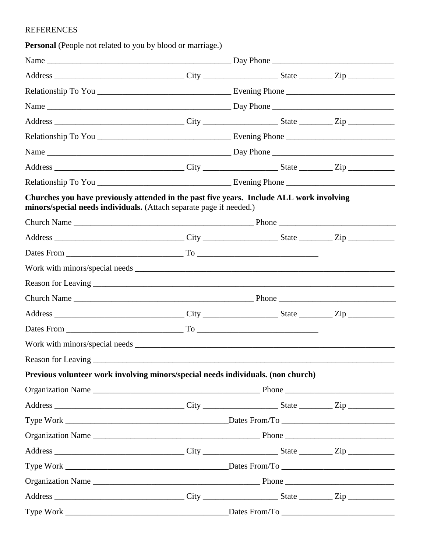# REFERENCES

Personal (People not related to you by blood or marriage.)

| Churches you have previously attended in the past five years. Include ALL work involving<br>minors/special needs individuals. (Attach separate page if needed.) |  |  |  |  |
|-----------------------------------------------------------------------------------------------------------------------------------------------------------------|--|--|--|--|
|                                                                                                                                                                 |  |  |  |  |
|                                                                                                                                                                 |  |  |  |  |
|                                                                                                                                                                 |  |  |  |  |
|                                                                                                                                                                 |  |  |  |  |
|                                                                                                                                                                 |  |  |  |  |
|                                                                                                                                                                 |  |  |  |  |
|                                                                                                                                                                 |  |  |  |  |
|                                                                                                                                                                 |  |  |  |  |
|                                                                                                                                                                 |  |  |  |  |
|                                                                                                                                                                 |  |  |  |  |
| Previous volunteer work involving minors/special needs individuals. (non church)                                                                                |  |  |  |  |
|                                                                                                                                                                 |  |  |  |  |
|                                                                                                                                                                 |  |  |  |  |
|                                                                                                                                                                 |  |  |  |  |
|                                                                                                                                                                 |  |  |  |  |
|                                                                                                                                                                 |  |  |  |  |
|                                                                                                                                                                 |  |  |  |  |
|                                                                                                                                                                 |  |  |  |  |
|                                                                                                                                                                 |  |  |  |  |
|                                                                                                                                                                 |  |  |  |  |